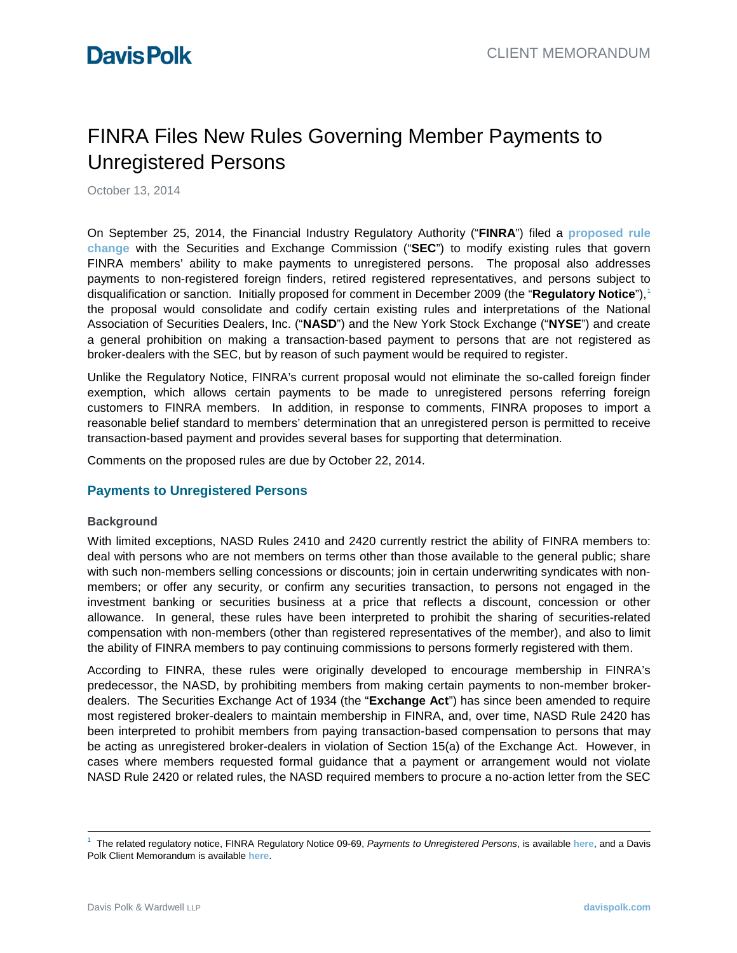# FINRA Files New Rules Governing Member Payments to Unregistered Persons

October 13, 2014

On September 25, 2014, the Financial Industry Regulatory Authority ("**FINRA**") filed a **[proposed rule](http://www.sec.gov/rules/sro/finra/2014/34-73210.pdf)  [change](http://www.sec.gov/rules/sro/finra/2014/34-73210.pdf)** with the Securities and Exchange Commission ("**SEC**") to modify existing rules that govern FINRA members' ability to make payments to unregistered persons. The proposal also addresses payments to non-registered foreign finders, retired registered representatives, and persons subject to disqualification or sanction. Initially proposed for comment in December 2009 (the "**Regulatory Notice**"), [1](#page-0-0) the proposal would consolidate and codify certain existing rules and interpretations of the National Association of Securities Dealers, Inc. ("**NASD**") and the New York Stock Exchange ("**NYSE**") and create a general prohibition on making a transaction-based payment to persons that are not registered as broker-dealers with the SEC, but by reason of such payment would be required to register.

Unlike the Regulatory Notice, FINRA's current proposal would not eliminate the so-called foreign finder exemption, which allows certain payments to be made to unregistered persons referring foreign customers to FINRA members. In addition, in response to comments, FINRA proposes to import a reasonable belief standard to members' determination that an unregistered person is permitted to receive transaction-based payment and provides several bases for supporting that determination.

Comments on the proposed rules are due by October 22, 2014.

### **Payments to Unregistered Persons**

### **Background**

With limited exceptions, NASD Rules 2410 and 2420 currently restrict the ability of FINRA members to: deal with persons who are not members on terms other than those available to the general public; share with such non-members selling concessions or discounts; join in certain underwriting syndicates with nonmembers; or offer any security, or confirm any securities transaction, to persons not engaged in the investment banking or securities business at a price that reflects a discount, concession or other allowance. In general, these rules have been interpreted to prohibit the sharing of securities-related compensation with non-members (other than registered representatives of the member), and also to limit the ability of FINRA members to pay continuing commissions to persons formerly registered with them.

According to FINRA, these rules were originally developed to encourage membership in FINRA's predecessor, the NASD, by prohibiting members from making certain payments to non-member brokerdealers. The Securities Exchange Act of 1934 (the "**Exchange Act**") has since been amended to require most registered broker-dealers to maintain membership in FINRA, and, over time, NASD Rule 2420 has been interpreted to prohibit members from paying transaction-based compensation to persons that may be acting as unregistered broker-dealers in violation of Section 15(a) of the Exchange Act. However, in cases where members requested formal guidance that a payment or arrangement would not violate NASD Rule 2420 or related rules, the NASD required members to procure a no-action letter from the SEC

<span id="page-0-0"></span><sup>-&</sup>lt;br>1 The related regulatory notice, FINRA Regulatory Notice 09-69, *Payments to Unregistered Persons*, is available **[here](http://www.finra.org/web/groups/industry/@ip/@reg/@notice/documents/notices/p120480.pdf)**, and a Davis Polk Client Memorandum is available **[here](http://www.davispolk.com/sites/default/files/files/Publication/0a83e3ed-7c9f-45ab-89ba-11736346035a/Preview/PublicationAttachment/44c6d3e0-8868-47f8-aea2-0e663d38d767/121009_finra.pdf)**.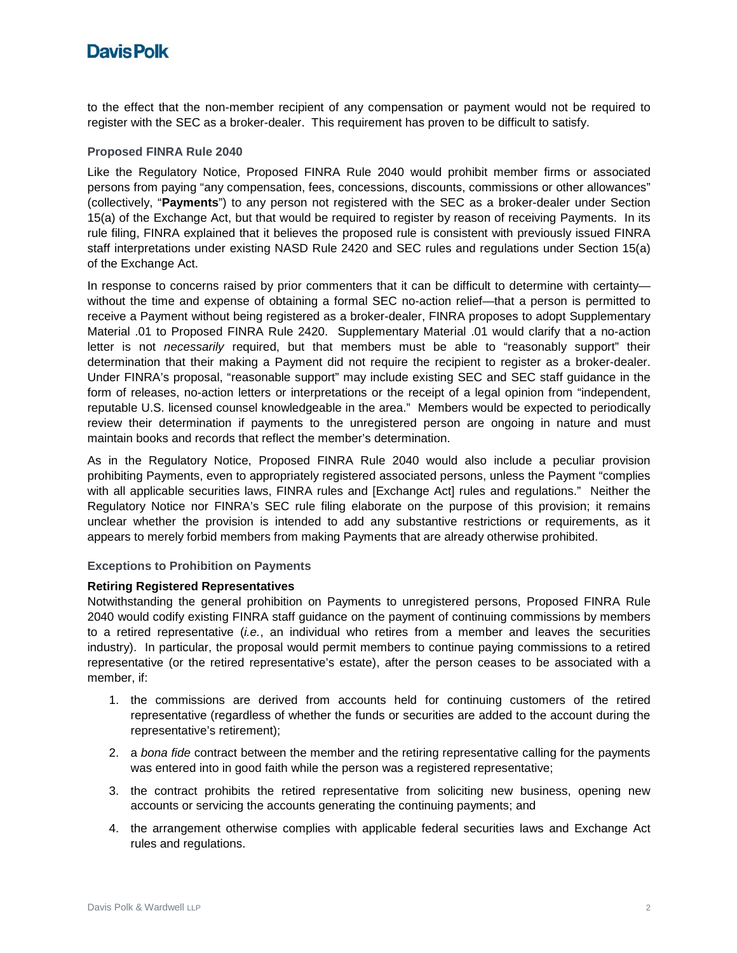# **Davis Polk**

to the effect that the non-member recipient of any compensation or payment would not be required to register with the SEC as a broker-dealer. This requirement has proven to be difficult to satisfy.

### **Proposed FINRA Rule 2040**

Like the Regulatory Notice, Proposed FINRA Rule 2040 would prohibit member firms or associated persons from paying "any compensation, fees, concessions, discounts, commissions or other allowances" (collectively, "**Payments**") to any person not registered with the SEC as a broker-dealer under Section 15(a) of the Exchange Act, but that would be required to register by reason of receiving Payments. In its rule filing, FINRA explained that it believes the proposed rule is consistent with previously issued FINRA staff interpretations under existing NASD Rule 2420 and SEC rules and regulations under Section 15(a) of the Exchange Act.

In response to concerns raised by prior commenters that it can be difficult to determine with certaintywithout the time and expense of obtaining a formal SEC no-action relief—that a person is permitted to receive a Payment without being registered as a broker-dealer, FINRA proposes to adopt Supplementary Material .01 to Proposed FINRA Rule 2420. Supplementary Material .01 would clarify that a no-action letter is not *necessarily* required, but that members must be able to "reasonably support" their determination that their making a Payment did not require the recipient to register as a broker-dealer. Under FINRA's proposal, "reasonable support" may include existing SEC and SEC staff guidance in the form of releases, no-action letters or interpretations or the receipt of a legal opinion from "independent, reputable U.S. licensed counsel knowledgeable in the area." Members would be expected to periodically review their determination if payments to the unregistered person are ongoing in nature and must maintain books and records that reflect the member's determination.

As in the Regulatory Notice, Proposed FINRA Rule 2040 would also include a peculiar provision prohibiting Payments, even to appropriately registered associated persons, unless the Payment "complies with all applicable securities laws, FINRA rules and [Exchange Act] rules and regulations." Neither the Regulatory Notice nor FINRA's SEC rule filing elaborate on the purpose of this provision; it remains unclear whether the provision is intended to add any substantive restrictions or requirements, as it appears to merely forbid members from making Payments that are already otherwise prohibited.

### **Exceptions to Prohibition on Payments**

### **Retiring Registered Representatives**

Notwithstanding the general prohibition on Payments to unregistered persons, Proposed FINRA Rule 2040 would codify existing FINRA staff guidance on the payment of continuing commissions by members to a retired representative (*i.e.*, an individual who retires from a member and leaves the securities industry). In particular, the proposal would permit members to continue paying commissions to a retired representative (or the retired representative's estate), after the person ceases to be associated with a member, if:

- 1. the commissions are derived from accounts held for continuing customers of the retired representative (regardless of whether the funds or securities are added to the account during the representative's retirement);
- 2. a *bona fide* contract between the member and the retiring representative calling for the payments was entered into in good faith while the person was a registered representative;
- 3. the contract prohibits the retired representative from soliciting new business, opening new accounts or servicing the accounts generating the continuing payments; and
- 4. the arrangement otherwise complies with applicable federal securities laws and Exchange Act rules and regulations.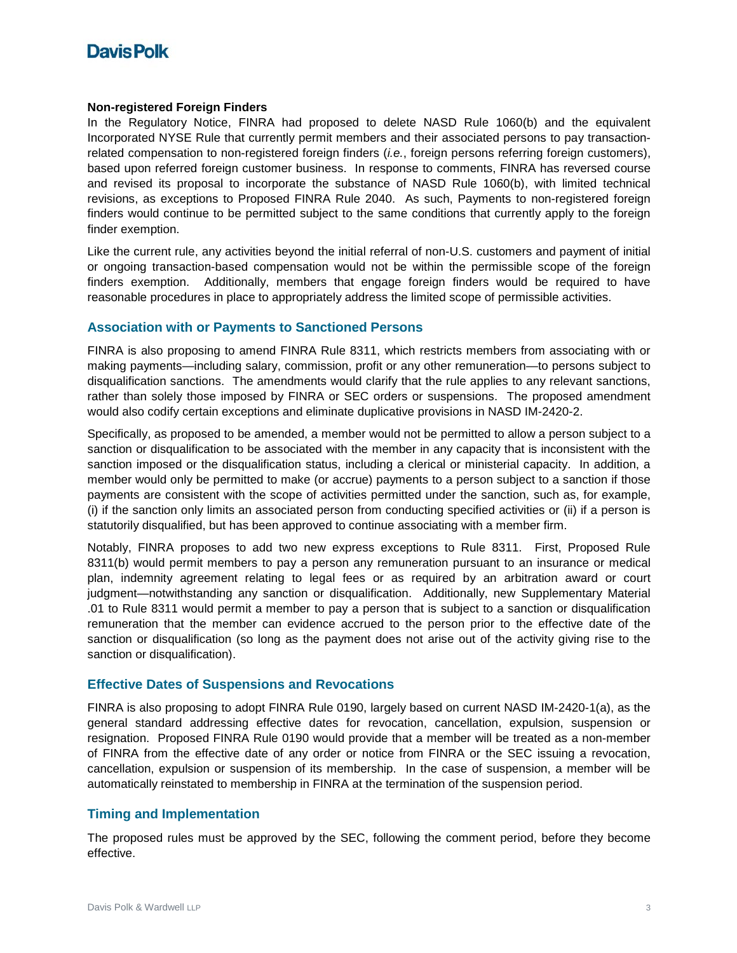# **DavisPolk**

#### **Non-registered Foreign Finders**

In the Regulatory Notice, FINRA had proposed to delete NASD Rule 1060(b) and the equivalent Incorporated NYSE Rule that currently permit members and their associated persons to pay transactionrelated compensation to non-registered foreign finders (*i.e.*, foreign persons referring foreign customers), based upon referred foreign customer business. In response to comments, FINRA has reversed course and revised its proposal to incorporate the substance of NASD Rule 1060(b), with limited technical revisions, as exceptions to Proposed FINRA Rule 2040. As such, Payments to non-registered foreign finders would continue to be permitted subject to the same conditions that currently apply to the foreign finder exemption.

Like the current rule, any activities beyond the initial referral of non-U.S. customers and payment of initial or ongoing transaction-based compensation would not be within the permissible scope of the foreign finders exemption. Additionally, members that engage foreign finders would be required to have reasonable procedures in place to appropriately address the limited scope of permissible activities.

### **Association with or Payments to Sanctioned Persons**

FINRA is also proposing to amend FINRA Rule 8311, which restricts members from associating with or making payments—including salary, commission, profit or any other remuneration—to persons subject to disqualification sanctions. The amendments would clarify that the rule applies to any relevant sanctions, rather than solely those imposed by FINRA or SEC orders or suspensions. The proposed amendment would also codify certain exceptions and eliminate duplicative provisions in NASD IM-2420-2.

Specifically, as proposed to be amended, a member would not be permitted to allow a person subject to a sanction or disqualification to be associated with the member in any capacity that is inconsistent with the sanction imposed or the disqualification status, including a clerical or ministerial capacity. In addition, a member would only be permitted to make (or accrue) payments to a person subject to a sanction if those payments are consistent with the scope of activities permitted under the sanction, such as, for example, (i) if the sanction only limits an associated person from conducting specified activities or (ii) if a person is statutorily disqualified, but has been approved to continue associating with a member firm.

Notably, FINRA proposes to add two new express exceptions to Rule 8311. First, Proposed Rule 8311(b) would permit members to pay a person any remuneration pursuant to an insurance or medical plan, indemnity agreement relating to legal fees or as required by an arbitration award or court judgment—notwithstanding any sanction or disqualification. Additionally, new Supplementary Material .01 to Rule 8311 would permit a member to pay a person that is subject to a sanction or disqualification remuneration that the member can evidence accrued to the person prior to the effective date of the sanction or disqualification (so long as the payment does not arise out of the activity giving rise to the sanction or disqualification).

### **Effective Dates of Suspensions and Revocations**

FINRA is also proposing to adopt FINRA Rule 0190, largely based on current NASD IM-2420-1(a), as the general standard addressing effective dates for revocation, cancellation, expulsion, suspension or resignation. Proposed FINRA Rule 0190 would provide that a member will be treated as a non-member of FINRA from the effective date of any order or notice from FINRA or the SEC issuing a revocation, cancellation, expulsion or suspension of its membership. In the case of suspension, a member will be automatically reinstated to membership in FINRA at the termination of the suspension period.

### **Timing and Implementation**

The proposed rules must be approved by the SEC, following the comment period, before they become effective.